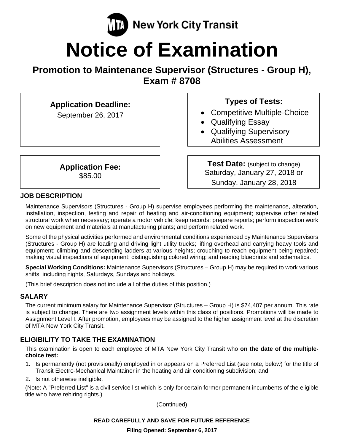

# **Notice of Examination**

# **Promotion to Maintenance Supervisor (Structures - Group H), Exam # 8708**

| <b>Application Deadline:</b><br>September 26, 2017 |  |
|----------------------------------------------------|--|
| <b>Application Fee:</b><br>\$85.00                 |  |

# **Types of Tests:**

- Competitive Multiple-Choice
- Qualifying Essay
- Qualifying Supervisory Abilities Assessment

**Test Date:** (subject to change) Saturday, January 27, 2018 or Sunday, January 28, 2018

# **JOB DESCRIPTION**

Maintenance Supervisors (Structures - Group H) supervise employees performing the maintenance, alteration, installation, inspection, testing and repair of heating and air-conditioning equipment; supervise other related structural work when necessary; operate a motor vehicle; keep records; prepare reports; perform inspection work on new equipment and materials at manufacturing plants; and perform related work.

Some of the physical activities performed and environmental conditions experienced by Maintenance Supervisors (Structures - Group H) are loading and driving light utility trucks; lifting overhead and carrying heavy tools and equipment; climbing and descending ladders at various heights; crouching to reach equipment being repaired; making visual inspections of equipment; distinguishing colored wiring; and reading blueprints and schematics.

**Special Working Conditions:** Maintenance Supervisors (Structures – Group H) may be required to work various shifts, including nights, Saturdays, Sundays and holidays.

(This brief description does not include all of the duties of this position.)

# **SALARY**

The current minimum salary for Maintenance Supervisor (Structures – Group H) is \$74,407 per annum. This rate is subject to change. There are two assignment levels within this class of positions. Promotions will be made to Assignment Level I. After promotion, employees may be assigned to the higher assignment level at the discretion of MTA New York City Transit.

# **ELIGIBILITY TO TAKE THE EXAMINATION**

This examination is open to each employee of MTA New York City Transit who **on the date of the multiplechoice test:** 

- 1. Is permanently (not provisionally) employed in or appears on a Preferred List (see note, below) for the title of Transit Electro-Mechanical Maintainer in the heating and air conditioning subdivision; and
- 2. Is not otherwise ineligible.

(Note: A "Preferred List" is a civil service list which is only for certain former permanent incumbents of the eligible title who have rehiring rights.)

(Continued)

# **READ CAREFULLY AND SAVE FOR FUTURE REFERENCE**

**Filing Opened: September 6, 2017**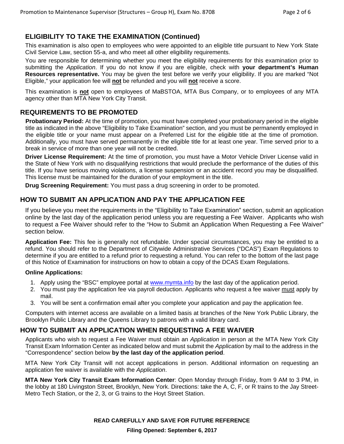# **ELIGIBILITY TO TAKE THE EXAMINATION (Continued)**

This examination is also open to employees who were appointed to an eligible title pursuant to New York State Civil Service Law, section 55-a, and who meet all other eligibility requirements.

You are responsible for determining whether you meet the eligibility requirements for this examination prior to submitting the *Application*. If you do not know if you are eligible, check with **your department's Human Resources representative.** You may be given the test before we verify your eligibility. If you are marked "Not Eligible," your application fee will **not** be refunded and you will **not** receive a score.

This examination is **not** open to employees of MaBSTOA, MTA Bus Company, or to employees of any MTA agency other than MTA New York City Transit.

#### **REQUIREMENTS TO BE PROMOTED**

**Probationary Period:** At the time of promotion, you must have completed your probationary period in the eligible title as indicated in the above "Eligibility to Take Examination" section, and you must be permanently employed in the eligible title or your name must appear on a Preferred List for the eligible title at the time of promotion. Additionally, you must have served permanently in the eligible title for at least one year. Time served prior to a break in service of more than one year will not be credited.

**Driver License Requirement:** At the time of promotion, you must have a Motor Vehicle Driver License valid in the State of New York with no disqualifying restrictions that would preclude the performance of the duties of this title. If you have serious moving violations, a license suspension or an accident record you may be disqualified. This license must be maintained for the duration of your employment in the title.

**Drug Screening Requirement:** You must pass a drug screening in order to be promoted.

#### **HOW TO SUBMIT AN APPLICATION AND PAY THE APPLICATION FEE**

If you believe you meet the requirements in the "Eligibility to Take Examination" section, submit an application online by the last day of the application period unless you are requesting a Fee Waiver. Applicants who wish to request a Fee Waiver should refer to the "How to Submit an Application When Requesting a Fee Waiver" section below.

**Application Fee:** This fee is generally not refundable. Under special circumstances, you may be entitled to a refund. You should refer to the Department of Citywide Administrative Services ("DCAS") Exam Regulations to determine if you are entitled to a refund prior to requesting a refund. You can refer to the bottom of the last page of this Notice of Examination for instructions on how to obtain a copy of the DCAS Exam Regulations.

#### **Online Applications:**

- 1. Apply using the "BSC" employee portal at www.mymta.info by the last day of the application period.
- 2. You must pay the application fee via payroll deduction. Applicants who request a fee waiver must apply by mail.
- 3. You will be sent a confirmation email after you complete your application and pay the application fee.

Computers with internet access are available on a limited basis at branches of the New York Public Library, the Brooklyn Public Library and the Queens Library to patrons with a valid library card.

#### **HOW TO SUBMIT AN APPLICATION WHEN REQUESTING A FEE WAIVER**

Applicants who wish to request a Fee Waiver must obtain an *Application* in person at the MTA New York City Transit Exam Information Center as indicated below and must submit the *Application* by mail to the address in the "Correspondence" section below **by the last day of the application period**.

MTA New York City Transit will not accept applications in person. Additional information on requesting an application fee waiver is available with the *Application*.

**MTA New York City Transit Exam Information Center**: Open Monday through Friday, from 9 AM to 3 PM, in the lobby at 180 Livingston Street, Brooklyn, New York. Directions: take the A, C, F, or R trains to the Jay Street-Metro Tech Station, or the 2, 3, or G trains to the Hoyt Street Station.

**READ CAREFULLY AND SAVE FOR FUTURE REFERENCE** 

**Filing Opened: September 6, 2017**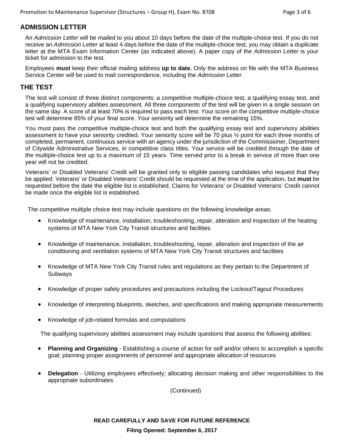# **ADMISSION LETTER**

An *Admission Letter* will be mailed to you about 10 days before the date of the multiple-choice test. If you do not receive an *Admission Letter* at least 4 days before the date of the multiple-choice test, you may obtain a duplicate letter at the MTA Exam Information Center (as indicated above). A paper copy of the *Admission Letter* is your ticket for admission to the test.

Employees **must** keep their official mailing address **up to date.** Only the address on file with the MTA Business Service Center will be used to mail correspondence, including the *Admission Letter.*

#### **THE TEST**

The test will consist of three distinct components: a competitive multiple-choice test, a qualifying essay test, and a qualifying supervisory abilities assessment. All three components of the test will be given in a single session on the same day. A score of at least 70% is required to pass each test. Your score on the competitive multiple-choice test will determine 85% of your final score. Your seniority will determine the remaining 15%.

You must pass the competitive multiple-choice test and both the qualifying essay test and supervisory abilities assessment to have your seniority credited. Your seniority score will be 70 plus ½ point for each three months of completed, permanent, continuous service with an agency under the jurisdiction of the Commissioner, Department of Citywide Administrative Services, in competitive class titles. Your service will be credited through the date of the multiple-choice test up to a maximum of 15 years. Time served prior to a break in service of more than one year will not be credited.

Veterans' or Disabled Veterans' Credit will be granted only to eligible passing candidates who request that they be applied. Veterans' or Disabled Veterans' Credit should be requested at the time of the application, but **must** be requested before the date the eligible list is established. Claims for Veterans' or Disabled Veterans' Credit cannot be made once the eligible list is established.

The competitive multiple choice test may include questions on the following knowledge areas:

- Knowledge of maintenance, installation, troubleshooting, repair, alteration and inspection of the heating systems of MTA New York City Transit structures and facilities
- Knowledge of maintenance, installation, troubleshooting, repair, alteration and inspection of the air conditioning and ventilation systems of MTA New York City Transit structures and facilities
- Knowledge of MTA New York City Transit rules and regulations as they pertain to the Department of Subways
- Knowledge of proper safety procedures and precautions including the Lockout/Tagout Procedures
- Knowledge of interpreting blueprints, sketches, and specifications and making appropriate measurements
- Knowledge of job-related formulas and computations

The qualifying supervisory abilities assessment may include questions that assess the following abilities:

- **Planning and Organizing** Establishing a course of action for self and/or others to accomplish a specific goal; planning proper assignments of personnel and appropriate allocation of resources
- **Delegation** Utilizing employees effectively; allocating decision making and other responsibilities to the appropriate subordinates

(Continued)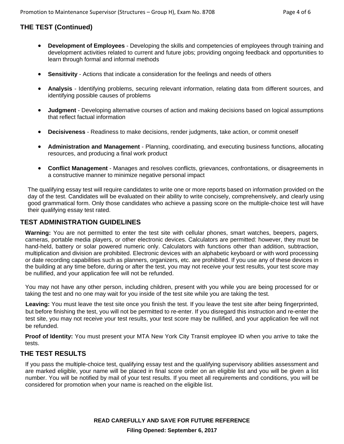# **THE TEST (Continued)**

- **Development of Employees** Developing the skills and competencies of employees through training and development activities related to current and future jobs; providing ongoing feedback and opportunities to learn through formal and informal methods
- **Sensitivity** Actions that indicate a consideration for the feelings and needs of others
- **Analysis** Identifying problems, securing relevant information, relating data from different sources, and identifying possible causes of problems
- **Judgment** Developing alternative courses of action and making decisions based on logical assumptions that reflect factual information
- **Decisiveness** Readiness to make decisions, render judgments, take action, or commit oneself
- **Administration and Management** Planning, coordinating, and executing business functions, allocating resources, and producing a final work product
- **Conflict Management** Manages and resolves conflicts, grievances, confrontations, or disagreements in a constructive manner to minimize negative personal impact

The qualifying essay test will require candidates to write one or more reports based on information provided on the day of the test. Candidates will be evaluated on their ability to write concisely, comprehensively, and clearly using good grammatical form. Only those candidates who achieve a passing score on the multiple-choice test will have their qualifying essay test rated.

# **TEST ADMINISTRATION GUIDELINES**

**Warning:** You are not permitted to enter the test site with cellular phones, smart watches, beepers, pagers, cameras, portable media players, or other electronic devices. Calculators are permitted: however, they must be hand-held, battery or solar powered numeric only. Calculators with functions other than addition, subtraction, multiplication and division are prohibited. Electronic devices with an alphabetic keyboard or with word processing or date recording capabilities such as planners, organizers, etc. are prohibited. If you use any of these devices in the building at any time before, during or after the test, you may not receive your test results, your test score may be nullified, and your application fee will not be refunded.

You may not have any other person, including children, present with you while you are being processed for or taking the test and no one may wait for you inside of the test site while you are taking the test.

**Leaving:** You must leave the test site once you finish the test. If you leave the test site after being fingerprinted, but before finishing the test, you will not be permitted to re-enter. If you disregard this instruction and re-enter the test site, you may not receive your test results, your test score may be nullified, and your application fee will not be refunded.

**Proof of Identity:** You must present your MTA New York City Transit employee ID when you arrive to take the tests.

#### **THE TEST RESULTS**

If you pass the multiple-choice test, qualifying essay test and the qualifying supervisory abilities assessment and are marked eligible, your name will be placed in final score order on an eligible list and you will be given a list number. You will be notified by mail of your test results. If you meet all requirements and conditions, you will be considered for promotion when your name is reached on the eligible list.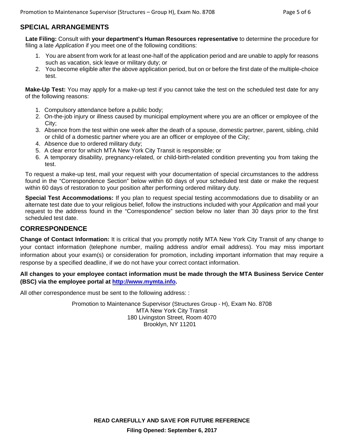# **SPECIAL ARRANGEMENTS**

**Late Filing:** Consult with **your department's Human Resources representative** to determine the procedure for filing a late *Application* if you meet one of the following conditions:

- 1. You are absent from work for at least one-half of the application period and are unable to apply for reasons such as vacation, sick leave or military duty; or
- 2. You become eligible after the above application period, but on or before the first date of the multiple-choice test.

**Make-Up Test:** You may apply for a make-up test if you cannot take the test on the scheduled test date for any of the following reasons:

- 1. Compulsory attendance before a public body;
- 2. On-the-job injury or illness caused by municipal employment where you are an officer or employee of the City;
- 3. Absence from the test within one week after the death of a spouse, domestic partner, parent, sibling, child or child of a domestic partner where you are an officer or employee of the City;
- 4. Absence due to ordered military duty;
- 5. A clear error for which MTA New York City Transit is responsible; or
- 6. A temporary disability, pregnancy-related, or child-birth-related condition preventing you from taking the test.

To request a make-up test, mail your request with your documentation of special circumstances to the address found in the "Correspondence Section" below within 60 days of your scheduled test date or make the request within 60 days of restoration to your position after performing ordered military duty.

**Special Test Accommodations:** If you plan to request special testing accommodations due to disability or an alternate test date due to your religious belief, follow the instructions included with your *Application* and mail your request to the address found in the "Correspondence" section below no later than 30 days prior to the first scheduled test date.

# **CORRESPONDENCE**

**Change of Contact Information:** It is critical that you promptly notify MTA New York City Transit of any change to your contact information (telephone number, mailing address and/or email address). You may miss important information about your exam(s) or consideration for promotion, including important information that may require a response by a specified deadline, if we do not have your correct contact information.

**All changes to your employee contact information must be made through the MTA Business Service Center (BSC) via the employee portal at http://www.mymta.info.** 

All other correspondence must be sent to the following address: :

Promotion to Maintenance Supervisor (Structures Group - H), Exam No. 8708 MTA New York City Transit 180 Livingston Street, Room 4070 Brooklyn, NY 11201